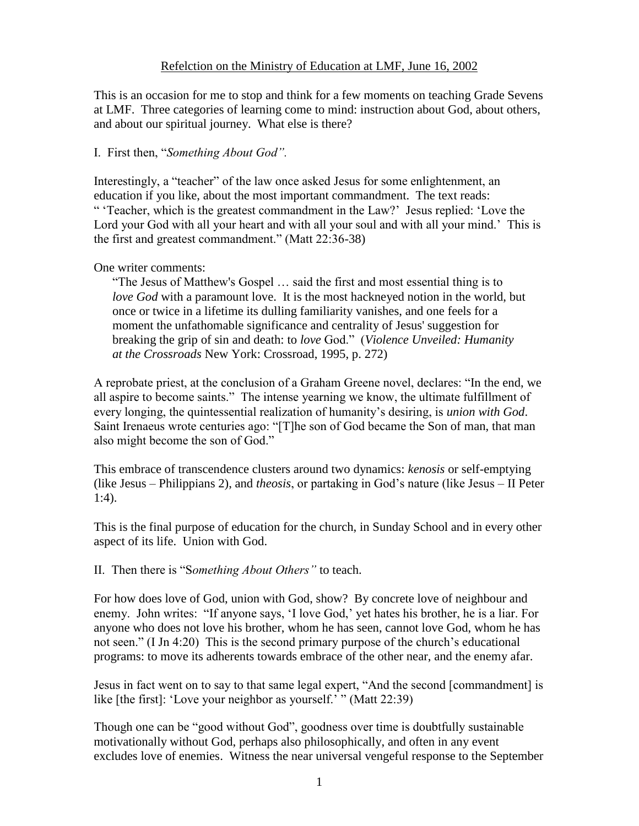This is an occasion for me to stop and think for a few moments on teaching Grade Sevens at LMF. Three categories of learning come to mind: instruction about God, about others, and about our spiritual journey. What else is there?

## I. First then, "*Something About God".*

Interestingly, a "teacher" of the law once asked Jesus for some enlightenment, an education if you like, about the most important commandment. The text reads: " 'Teacher, which is the greatest commandment in the Law?' Jesus replied: 'Love the Lord your God with all your heart and with all your soul and with all your mind.' This is the first and greatest commandment." (Matt 22:36-38)

## One writer comments:

"The Jesus of Matthew's Gospel … said the first and most essential thing is to *love God* with a paramount love. It is the most hackneyed notion in the world, but once or twice in a lifetime its dulling familiarity vanishes, and one feels for a moment the unfathomable significance and centrality of Jesus' suggestion for breaking the grip of sin and death: to *love* God." (*Violence Unveiled: Humanity at the Crossroads* New York: Crossroad, 1995, p. 272)

A reprobate priest, at the conclusion of a Graham Greene novel, declares: "In the end, we all aspire to become saints." The intense yearning we know, the ultimate fulfillment of every longing, the quintessential realization of humanity's desiring, is *union with God*. Saint Irenaeus wrote centuries ago: "[T]he son of God became the Son of man, that man also might become the son of God."

This embrace of transcendence clusters around two dynamics: *kenosis* or self-emptying (like Jesus – Philippians 2), and *theosis*, or partaking in God's nature (like Jesus – II Peter 1:4).

This is the final purpose of education for the church, in Sunday School and in every other aspect of its life. Union with God.

## II. Then there is "S*omething About Others"* to teach.

For how does love of God, union with God, show? By concrete love of neighbour and enemy. John writes: "If anyone says, 'I love God,' yet hates his brother, he is a liar. For anyone who does not love his brother, whom he has seen, cannot love God, whom he has not seen." (I Jn 4:20) This is the second primary purpose of the church's educational programs: to move its adherents towards embrace of the other near, and the enemy afar.

Jesus in fact went on to say to that same legal expert, "And the second [commandment] is like [the first]: 'Love your neighbor as yourself.' " (Matt 22:39)

Though one can be "good without God", goodness over time is doubtfully sustainable motivationally without God, perhaps also philosophically, and often in any event excludes love of enemies. Witness the near universal vengeful response to the September